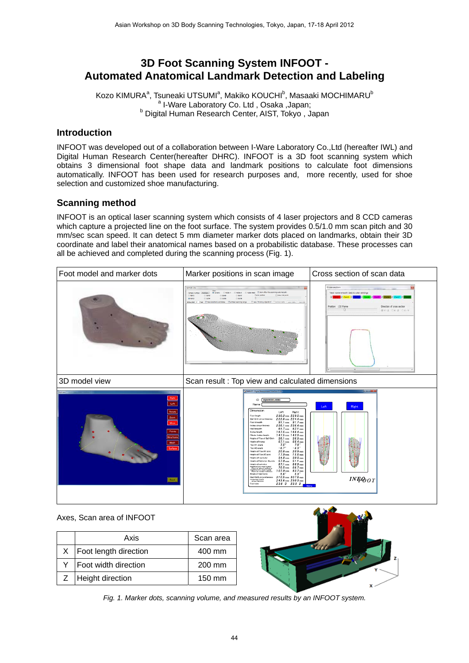# **3D Foot Scanning System INFOOT - Automated Anatomical Landmark Detection and Labeling**

Kozo KIMURA<sup>a</sup>, Tsuneaki UTSUMI<sup>a</sup>, Makiko KOUCHI<sup>b</sup>, Masaaki MOCHIMARU<sup>b</sup> <sup>a</sup> I-Ware Laboratory Co. Ltd , Osaka ,Japan;<br><sup>b</sup> Digital Human Bessersh Contar, NST Taking **b** Digital Human Research Center, AIST, Tokyo, Japan

### **Introduction**

INFOOT was developed out of a collaboration between I-Ware Laboratory Co.,Ltd (hereafter IWL) and Digital Human Research Center(hereafter DHRC). INFOOT is a 3D foot scanning system which obtains 3 dimensional foot shape data and landmark positions to calculate foot dimensions automatically. INFOOT has been used for research purposes and, more recently, used for shoe selection and customized shoe manufacturing.

## **Scanning method**

INFOOT is an optical laser scanning system which consists of 4 laser projectors and 8 CCD cameras which capture a projected line on the foot surface. The system provides 0.5/1.0 mm scan pitch and 30 mm/sec scan speed. It can detect 5 mm diameter marker dots placed on landmarks, obtain their 3D coordinate and label their anatomical names based on a probabilistic database. These processes can all be achieved and completed during the scanning process (Fig. 1).

| Foot model and marker dots          | Marker positions in scan image                                                                                                                                                                                                                                                                                                                                                                                                                                                                                                                                                                                                                                                                                                                                                                                                                                                                                                                                                                                                                                                                                                                                                         | Cross section of scan data                                                                                                        |
|-------------------------------------|----------------------------------------------------------------------------------------------------------------------------------------------------------------------------------------------------------------------------------------------------------------------------------------------------------------------------------------------------------------------------------------------------------------------------------------------------------------------------------------------------------------------------------------------------------------------------------------------------------------------------------------------------------------------------------------------------------------------------------------------------------------------------------------------------------------------------------------------------------------------------------------------------------------------------------------------------------------------------------------------------------------------------------------------------------------------------------------------------------------------------------------------------------------------------------------|-----------------------------------------------------------------------------------------------------------------------------------|
|                                     | Camera view<br>C Table Mesh E Draw after the scanning automaticaly.<br># Camera - O Table 1<br>O Table Z<br>Redraw<br>Camera number<br>ITT View mid point<br>Frame postcor<br>n Gmt<br>C Can3<br>C Gm6<br>C Cam7<br>0.0 <sub>1</sub><br>C Carrel<br>$0.0$ mill<br>C Cerro<br>Dow pitch 3 Paul Willew Indirek candidate Willmited scanning range<br>Use "Thinning Algorithm" [ Correct table [ Load table ] [ Save tab                                                                                                                                                                                                                                                                                                                                                                                                                                                                                                                                                                                                                                                                                                                                                                  | Cross section<br>View none-smooth data & color setting<br>Position 133 Frame<br>Direction of cross section<br>n<br>※V-Z CX-Z CX-V |
| 3D model view                       | Scan result : Top view and calculated dimensions                                                                                                                                                                                                                                                                                                                                                                                                                                                                                                                                                                                                                                                                                                                                                                                                                                                                                                                                                                                                                                                                                                                                       |                                                                                                                                   |
| <b>Fort page</b><br>Mesh<br>Surface | M INFOOT - Digital Measurement Interface 2.11<br>10A6NXKL49IG<br>D<br>Namo<br>Dimension<br>Left<br>Right<br>230.2mm 229.0mm<br>Foot length<br>222.6 mm 224.4 mm<br>Ball Girth droumference<br>Foot breadth<br>$91.1 \text{ mm}$ $91.7 \text{ mm}$<br>236.1 mm 236.4 mm<br>Instep circumference<br>Heel breachh<br>$61.7$ mm $62.1$ mm<br>167.5 mm 166.4 mm<br>Instep length<br>147.5 mm 143.9 mm<br>Fibular Instep length<br>Height of Top of Ball Girth<br>$36.1 \text{ mm}$ $36.9 \text{ mm}$<br>67.1 mm 66.4 mm<br>Hoght of Instep<br>$7.5^{\circ}$<br>7.8°<br>Toe #1 angle<br>- $6.3\,^{\circ}$<br>$-6.7^{\circ}$<br>Too #5 angle<br>Height of Toe #1 joint<br>$20.6$ mm<br>$20.9$ mm<br>Height of Toe #5 joint<br>$15.6$ mm<br>$17.0$ mm<br>Height of naviouser<br>$34.8 \text{ mm}$ $30.9 \text{ mm}$<br>57.0 mm 51.1 mm<br>Height of Sphyrion fiburale<br>67.1 mm 68.9 mm<br>Height of spherion<br>Height of the most latera<br>70.5 mm 66.7 mm<br>Height of the most model<br>107.0 mm 83.7 mm<br>$5.6^{\circ}$<br>$5.3^{\circ}$<br>Angle of heal bone<br>310.5 mm 307.6 mm<br>Heel Girth circumference<br>Horizontal Ankle<br>243.6 mm 230.3 mm<br>23.0 D 23.0 D<br>Foot size | Left<br>Right<br>INF@oT                                                                                                           |

#### Axes, Scan area of INFOOT

| Axis                        | Scan area |
|-----------------------------|-----------|
| $X$   Foot length direction | 400 mm    |
| Foot width direction        | 200 mm    |
| Z   Height direction        | 150 mm    |



*Fig. 1. Marker dots, scanning volume, and measured results by an INFOOT system.*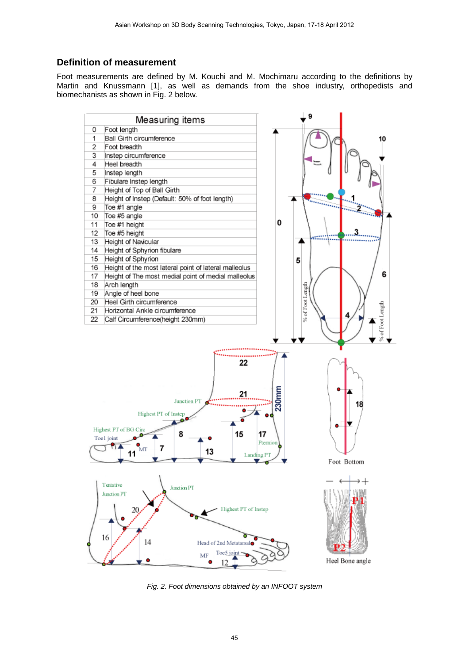### **Definition of measurement**

Foot measurements are defined by M. Kouchi and M. Mochimaru according to the definitions by Martin and Knussmann [1], as well as demands from the shoe industry, orthopedists and biomechanists as shown in Fig. 2 below.



*Fig. 2. Foot dimensions obtained by an INFOOT system*